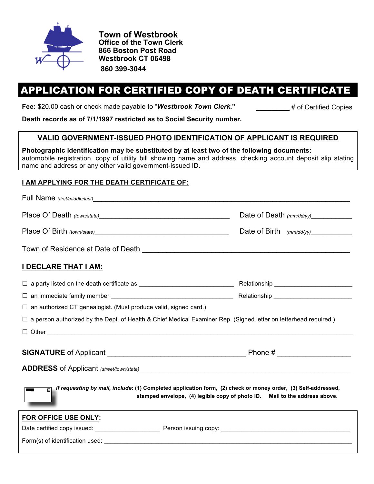

**Town of Westbrook Office of the Town Clerk 866 Boston Post Road Westbrook CT 06498 860 399-3044**

# APPLICATION FOR CERTIFIED COPY OF DEATH CERTIFICATE

Fee: \$20.00 cash or check made payable to "Westbrook Town Clerk." <br>
# of Certified Copies

**Death records as of 7/1/1997 restricted as to Social Security number.**

# **VALID GOVERNMENT-ISSUED PHOTO IDENTIFICATION OF APPLICANT IS REQUIRED**

**Photographic identification may be substituted by at least two of the following documents:**  automobile registration, copy of utility bill showing name and address, checking account deposit slip stating name and address or any other valid government-issued ID.

# **I AM APPLYING FOR THE DEATH CERTIFICATE OF:**

|                                                                                                                                                                                             | Date of Death (mm/dd/yy)_____________ |
|---------------------------------------------------------------------------------------------------------------------------------------------------------------------------------------------|---------------------------------------|
|                                                                                                                                                                                             | Date of Birth (mm/dd/yy)_____________ |
|                                                                                                                                                                                             |                                       |
| <b>I DECLARE THAT I AM:</b>                                                                                                                                                                 |                                       |
|                                                                                                                                                                                             |                                       |
|                                                                                                                                                                                             |                                       |
| $\Box$ an authorized CT genealogist. (Must produce valid, signed card.)                                                                                                                     |                                       |
| $\Box$ a person authorized by the Dept. of Health & Chief Medical Examiner Rep. (Signed letter on letterhead required.)                                                                     |                                       |
|                                                                                                                                                                                             |                                       |
|                                                                                                                                                                                             |                                       |
|                                                                                                                                                                                             |                                       |
| If requesting by mail, include: (1) Completed application form, (2) check or money order, (3) Self-addressed,<br>stamped envelope, (4) legible copy of photo ID. Mail to the address above. |                                       |
| FOR OFFICE USE ONLY:                                                                                                                                                                        |                                       |
|                                                                                                                                                                                             |                                       |
|                                                                                                                                                                                             |                                       |